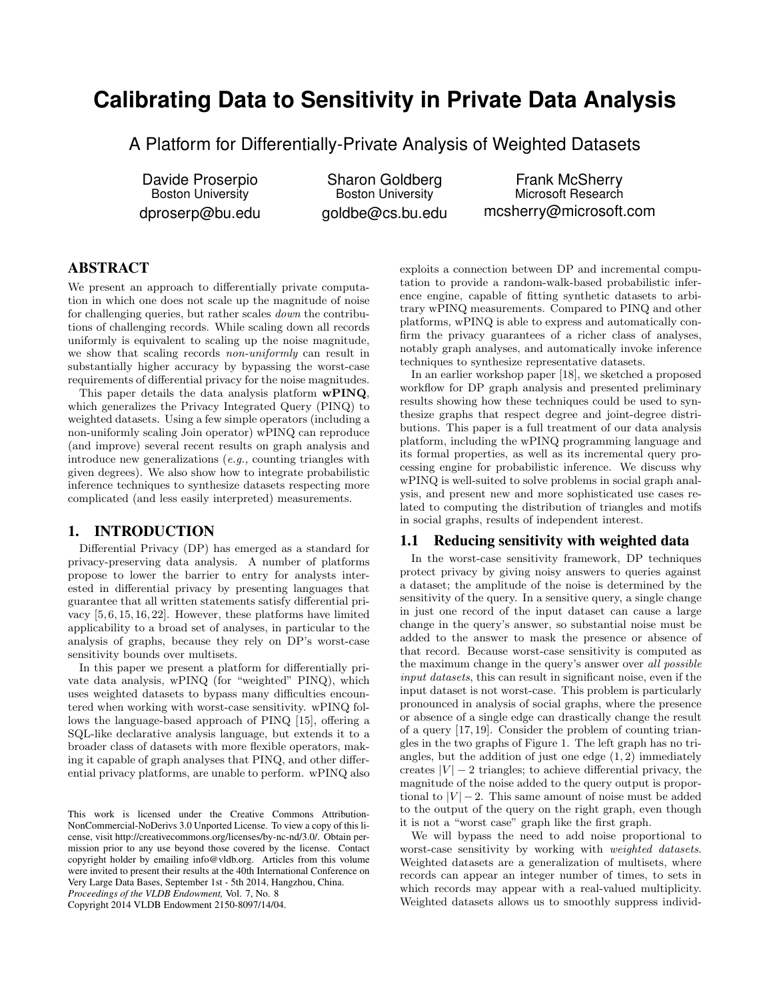# **Calibrating Data to Sensitivity in Private Data Analysis**

A Platform for Differentially-Private Analysis of Weighted Datasets

Davide Proserpio Boston University dproserp@bu.edu

Sharon Goldberg Boston University goldbe@cs.bu.edu

Frank McSherry Microsoft Research mcsherry@microsoft.com

# ABSTRACT

We present an approach to differentially private computation in which one does not scale up the magnitude of noise for challenging queries, but rather scales down the contributions of challenging records. While scaling down all records uniformly is equivalent to scaling up the noise magnitude, we show that scaling records non-uniformly can result in substantially higher accuracy by bypassing the worst-case requirements of differential privacy for the noise magnitudes.

This paper details the data analysis platform **wPINQ**, which generalizes the Privacy Integrated Query (PINQ) to weighted datasets. Using a few simple operators (including a non-uniformly scaling Join operator) wPINQ can reproduce (and improve) several recent results on graph analysis and introduce new generalizations (e.g., counting triangles with given degrees). We also show how to integrate probabilistic inference techniques to synthesize datasets respecting more complicated (and less easily interpreted) measurements.

# 1. INTRODUCTION

Differential Privacy (DP) has emerged as a standard for privacy-preserving data analysis. A number of platforms propose to lower the barrier to entry for analysts interested in differential privacy by presenting languages that guarantee that all written statements satisfy differential privacy [5, 6, 15, 16, 22]. However, these platforms have limited applicability to a broad set of analyses, in particular to the analysis of graphs, because they rely on DP's worst-case sensitivity bounds over multisets.

In this paper we present a platform for differentially private data analysis, wPINQ (for "weighted" PINQ), which uses weighted datasets to bypass many difficulties encountered when working with worst-case sensitivity. wPINQ follows the language-based approach of PINQ [15], offering a SQL-like declarative analysis language, but extends it to a broader class of datasets with more flexible operators, making it capable of graph analyses that PINQ, and other differential privacy platforms, are unable to perform. wPINQ also

*Proceedings of the VLDB Endowment,* Vol. 7, No. 8

Copyright 2014 VLDB Endowment 2150-8097/14/04.

exploits a connection between DP and incremental computation to provide a random-walk-based probabilistic inference engine, capable of fitting synthetic datasets to arbitrary wPINQ measurements. Compared to PINQ and other platforms, wPINQ is able to express and automatically confirm the privacy guarantees of a richer class of analyses, notably graph analyses, and automatically invoke inference techniques to synthesize representative datasets.

In an earlier workshop paper [18], we sketched a proposed workflow for DP graph analysis and presented preliminary results showing how these techniques could be used to synthesize graphs that respect degree and joint-degree distributions. This paper is a full treatment of our data analysis platform, including the wPINQ programming language and its formal properties, as well as its incremental query processing engine for probabilistic inference. We discuss why wPINQ is well-suited to solve problems in social graph analysis, and present new and more sophisticated use cases related to computing the distribution of triangles and motifs in social graphs, results of independent interest.

# 1.1 Reducing sensitivity with weighted data

In the worst-case sensitivity framework, DP techniques protect privacy by giving noisy answers to queries against a dataset; the amplitude of the noise is determined by the sensitivity of the query. In a sensitive query, a single change in just one record of the input dataset can cause a large change in the query's answer, so substantial noise must be added to the answer to mask the presence or absence of that record. Because worst-case sensitivity is computed as the maximum change in the query's answer over all possible input datasets, this can result in significant noise, even if the input dataset is not worst-case. This problem is particularly pronounced in analysis of social graphs, where the presence or absence of a single edge can drastically change the result of a query [17, 19]. Consider the problem of counting triangles in the two graphs of Figure 1. The left graph has no triangles, but the addition of just one edge  $(1, 2)$  immediately creates  $|V| - 2$  triangles; to achieve differential privacy, the magnitude of the noise added to the query output is proportional to  $|V| - 2$ . This same amount of noise must be added to the output of the query on the right graph, even though it is not a "worst case" graph like the first graph.

We will bypass the need to add noise proportional to worst-case sensitivity by working with weighted datasets. Weighted datasets are a generalization of multisets, where records can appear an integer number of times, to sets in which records may appear with a real-valued multiplicity. Weighted datasets allows us to smoothly suppress individ-

This work is licensed under the Creative Commons Attribution-NonCommercial-NoDerivs 3.0 Unported License. To view a copy of this license, visit http://creativecommons.org/licenses/by-nc-nd/3.0/. Obtain permission prior to any use beyond those covered by the license. Contact copyright holder by emailing info@vldb.org. Articles from this volume were invited to present their results at the 40th International Conference on Very Large Data Bases, September 1st - 5th 2014, Hangzhou, China.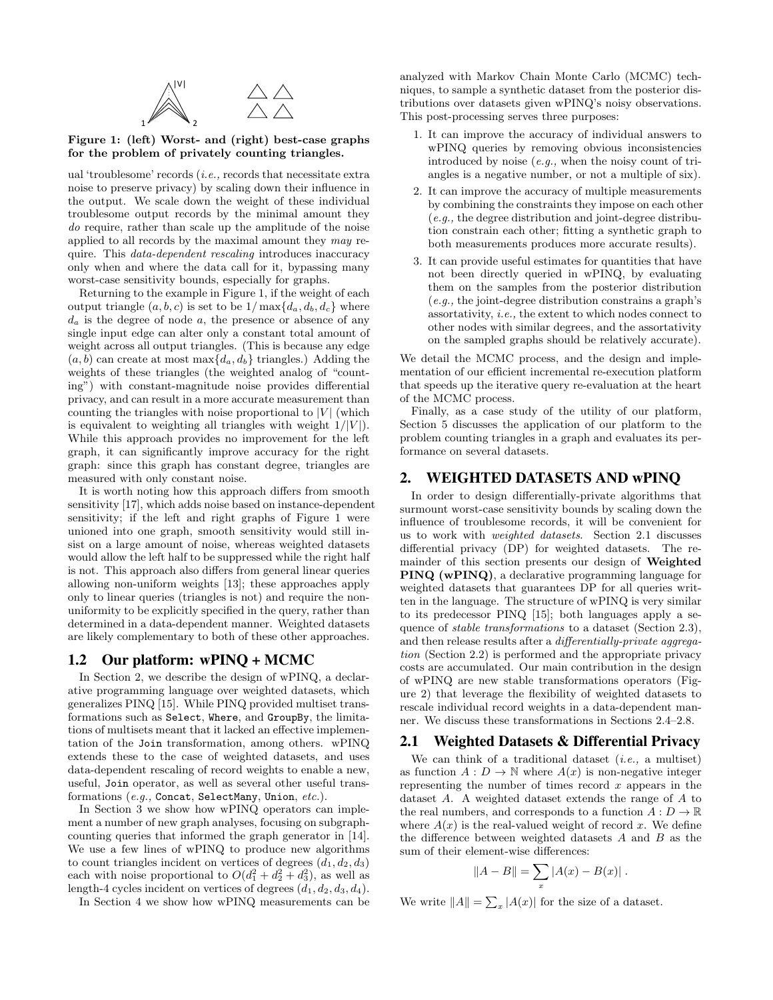

Figure 1: (left) Worst- and (right) best-case graphs for the problem of privately counting triangles.

ual 'troublesome' records (i.e., records that necessitate extra noise to preserve privacy) by scaling down their influence in the output. We scale down the weight of these individual troublesome output records by the minimal amount they do require, rather than scale up the amplitude of the noise applied to all records by the maximal amount they may require. This data-dependent rescaling introduces inaccuracy only when and where the data call for it, bypassing many worst-case sensitivity bounds, especially for graphs.

Returning to the example in Figure 1, if the weight of each output triangle  $(a, b, c)$  is set to be  $1/\max\{d_a, d_b, d_c\}$  where  $d_a$  is the degree of node a, the presence or absence of any single input edge can alter only a constant total amount of weight across all output triangles. (This is because any edge  $(a, b)$  can create at most max $\{d_a, d_b\}$  triangles.) Adding the weights of these triangles (the weighted analog of "counting") with constant-magnitude noise provides differential privacy, and can result in a more accurate measurement than counting the triangles with noise proportional to  $|V|$  (which is equivalent to weighting all triangles with weight  $1/|V|$ . While this approach provides no improvement for the left graph, it can significantly improve accuracy for the right graph: since this graph has constant degree, triangles are measured with only constant noise.

It is worth noting how this approach differs from smooth sensitivity [17], which adds noise based on instance-dependent sensitivity; if the left and right graphs of Figure 1 were unioned into one graph, smooth sensitivity would still insist on a large amount of noise, whereas weighted datasets would allow the left half to be suppressed while the right half is not. This approach also differs from general linear queries allowing non-uniform weights [13]; these approaches apply only to linear queries (triangles is not) and require the nonuniformity to be explicitly specified in the query, rather than determined in a data-dependent manner. Weighted datasets are likely complementary to both of these other approaches.

# 1.2 Our platform: wPINQ + MCMC

In Section 2, we describe the design of wPINQ, a declarative programming language over weighted datasets, which generalizes PINQ [15]. While PINQ provided multiset transformations such as Select, Where, and GroupBy, the limitations of multisets meant that it lacked an effective implementation of the Join transformation, among others. wPINQ extends these to the case of weighted datasets, and uses data-dependent rescaling of record weights to enable a new, useful, Join operator, as well as several other useful transformations (e.g., Concat, SelectMany, Union, etc.).

In Section 3 we show how wPINQ operators can implement a number of new graph analyses, focusing on subgraphcounting queries that informed the graph generator in [14]. We use a few lines of wPINQ to produce new algorithms to count triangles incident on vertices of degrees  $(d_1, d_2, d_3)$ each with noise proportional to  $O(d_1^2 + d_2^2 + d_3^2)$ , as well as length-4 cycles incident on vertices of degrees  $(d_1, d_2, d_3, d_4)$ .

In Section 4 we show how wPINQ measurements can be

analyzed with Markov Chain Monte Carlo (MCMC) techniques, to sample a synthetic dataset from the posterior distributions over datasets given wPINQ's noisy observations. This post-processing serves three purposes:

- 1. It can improve the accuracy of individual answers to wPINQ queries by removing obvious inconsistencies introduced by noise (e.g., when the noisy count of triangles is a negative number, or not a multiple of six).
- 2. It can improve the accuracy of multiple measurements by combining the constraints they impose on each other (e.g., the degree distribution and joint-degree distribution constrain each other; fitting a synthetic graph to both measurements produces more accurate results).
- 3. It can provide useful estimates for quantities that have not been directly queried in wPINQ, by evaluating them on the samples from the posterior distribution (e.g., the joint-degree distribution constrains a graph's assortativity, i.e., the extent to which nodes connect to other nodes with similar degrees, and the assortativity on the sampled graphs should be relatively accurate).

We detail the MCMC process, and the design and implementation of our efficient incremental re-execution platform that speeds up the iterative query re-evaluation at the heart of the MCMC process.

Finally, as a case study of the utility of our platform, Section 5 discusses the application of our platform to the problem counting triangles in a graph and evaluates its performance on several datasets.

# 2. WEIGHTED DATASETS AND wPINQ

In order to design differentially-private algorithms that surmount worst-case sensitivity bounds by scaling down the influence of troublesome records, it will be convenient for us to work with weighted datasets. Section 2.1 discusses differential privacy (DP) for weighted datasets. The remainder of this section presents our design of Weighted PINQ (wPINQ), a declarative programming language for weighted datasets that guarantees DP for all queries written in the language. The structure of wPINQ is very similar to its predecessor PINQ [15]; both languages apply a sequence of stable transformations to a dataset (Section 2.3), and then release results after a differentially-private aggregation (Section 2.2) is performed and the appropriate privacy costs are accumulated. Our main contribution in the design of wPINQ are new stable transformations operators (Figure 2) that leverage the flexibility of weighted datasets to rescale individual record weights in a data-dependent manner. We discuss these transformations in Sections 2.4–2.8.

### 2.1 Weighted Datasets & Differential Privacy

We can think of a traditional dataset  $(i.e., a multiset)$ as function  $A: D \to \mathbb{N}$  where  $A(x)$  is non-negative integer representing the number of times record  $x$  appears in the dataset A. A weighted dataset extends the range of A to the real numbers, and corresponds to a function  $A: D \to \mathbb{R}$ where  $A(x)$  is the real-valued weight of record x. We define the difference between weighted datasets A and B as the sum of their element-wise differences:

$$
||A - B|| = \sum_{x} |A(x) - B(x)|.
$$

We write  $||A|| = \sum_x |A(x)|$  for the size of a dataset.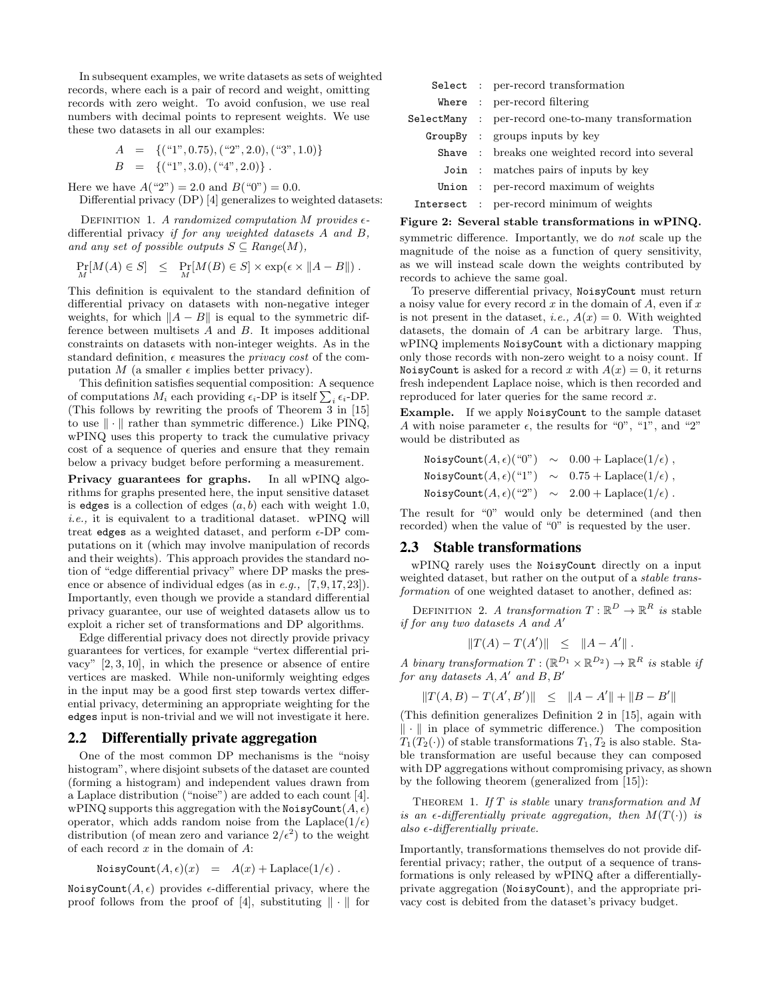In subsequent examples, we write datasets as sets of weighted records, where each is a pair of record and weight, omitting records with zero weight. To avoid confusion, we use real numbers with decimal points to represent weights. We use these two datasets in all our examples:

$$
A = \{({}^{(41)}, ,0.75),({}^{(42)}, ,2.0),({}^{(43)}, ,1.0)\}
$$

 $B = \{({} 41", 3.0), ({} 4", 2.0){} \}.$ 

Here we have  $A("2") = 2.0$  and  $B("0") = 0.0$ . Differential privacy (DP) [4] generalizes to weighted datasets:

DEFINITION 1. A randomized computation M provides  $\epsilon$ differential privacy if for any weighted datasets A and B, and any set of possible outputs  $S \subseteq Range(M)$ ,

$$
\Pr_M[M(A) \in S] \leq \Pr_M[M(B) \in S] \times \exp(\epsilon \times ||A - B||).
$$

This definition is equivalent to the standard definition of differential privacy on datasets with non-negative integer weights, for which  $||A - B||$  is equal to the symmetric difference between multisets A and B. It imposes additional constraints on datasets with non-integer weights. As in the standard definition,  $\epsilon$  measures the *privacy cost* of the computation M (a smaller  $\epsilon$  implies better privacy).

This definition satisfies sequential composition: A sequence of computations  $M_i$  each providing  $\epsilon_i$ -DP is itself  $\sum_i \epsilon_i$ -DP. (This follows by rewriting the proofs of Theorem 3 in [15] to use  $\|\cdot\|$  rather than symmetric difference.) Like PINQ, wPINQ uses this property to track the cumulative privacy cost of a sequence of queries and ensure that they remain below a privacy budget before performing a measurement.

Privacy guarantees for graphs. In all wPINQ algorithms for graphs presented here, the input sensitive dataset is edges is a collection of edges  $(a, b)$  each with weight 1.0, i.e., it is equivalent to a traditional dataset. wPINQ will treat edges as a weighted dataset, and perform  $\epsilon$ -DP computations on it (which may involve manipulation of records and their weights). This approach provides the standard notion of "edge differential privacy" where DP masks the presence or absence of individual edges (as in e.g., [7,9,17,23]). Importantly, even though we provide a standard differential privacy guarantee, our use of weighted datasets allow us to exploit a richer set of transformations and DP algorithms.

Edge differential privacy does not directly provide privacy guarantees for vertices, for example "vertex differential privacy" [2, 3, 10], in which the presence or absence of entire vertices are masked. While non-uniformly weighting edges in the input may be a good first step towards vertex differential privacy, determining an appropriate weighting for the edges input is non-trivial and we will not investigate it here.

### 2.2 Differentially private aggregation

One of the most common DP mechanisms is the "noisy histogram", where disjoint subsets of the dataset are counted (forming a histogram) and independent values drawn from a Laplace distribution ("noise") are added to each count [4]. wPINQ supports this aggregation with the NoisyCount $(A, \epsilon)$ operator, which adds random noise from the Laplace( $1/\epsilon$ ) distribution (of mean zero and variance  $2/\epsilon^2$ ) to the weight of each record  $x$  in the domain of  $A$ :

$$
\mathtt{NoisyCount}(A, \epsilon)(x) = A(x) + \mathrm{Laplace}(1/\epsilon) .
$$

NoisyCount $(A, \epsilon)$  provides  $\epsilon$ -differential privacy, where the proof follows from the proof of [4], substituting  $\|\cdot\|$  for

|                                           | Select : per-record transformation                 |  |  |
|-------------------------------------------|----------------------------------------------------|--|--|
|                                           | Where : per-record filtering                       |  |  |
|                                           | SelectMany : per-record one-to-many transformation |  |  |
|                                           | GroupBy: groups inputs by key                      |  |  |
|                                           | Shave : breaks one weighted record into several    |  |  |
|                                           | Join : matches pairs of inputs by key              |  |  |
|                                           | Union: per-record maximum of weights               |  |  |
| Intersect : per-record minimum of weights |                                                    |  |  |

Figure 2: Several stable transformations in wPINQ.

symmetric difference. Importantly, we do not scale up the magnitude of the noise as a function of query sensitivity, as we will instead scale down the weights contributed by records to achieve the same goal.

To preserve differential privacy, NoisyCount must return a noisy value for every record  $x$  in the domain of  $A$ , even if  $x$ is not present in the dataset, *i.e.*,  $A(x) = 0$ . With weighted datasets, the domain of A can be arbitrary large. Thus, wPINQ implements NoisyCount with a dictionary mapping only those records with non-zero weight to a noisy count. If NoisyCount is asked for a record x with  $A(x) = 0$ , it returns fresh independent Laplace noise, which is then recorded and reproduced for later queries for the same record x.

Example. If we apply NoisyCount to the sample dataset A with noise parameter  $\epsilon$ , the results for "0", "1", and "2" would be distributed as

NoisyCount
$$
(A, \epsilon)
$$
("0")  $\sim 0.00 + \text{Laplace}(1/\epsilon)$ ,  
NoisyCount $(A, \epsilon)$ ("1")  $\sim 0.75 + \text{Laplace}(1/\epsilon)$ ,  
NoisyCount $(A, \epsilon)$ ("2")  $\sim 2.00 + \text{Laplace}(1/\epsilon)$ .

The result for "0" would only be determined (and then recorded) when the value of "0" is requested by the user.

## 2.3 Stable transformations

wPINQ rarely uses the NoisyCount directly on a input weighted dataset, but rather on the output of a stable transformation of one weighted dataset to another, defined as:

DEFINITION 2. A transformation  $T: \mathbb{R}^D \to \mathbb{R}^R$  is stable if for any two datasets  $A$  and  $A'$ 

$$
||T(A) - T(A')|| \le ||A - A'||.
$$

A binary transformation  $T : (\mathbb{R}^{D_1} \times \mathbb{R}^{D_2}) \to \mathbb{R}^R$  is stable if for any datasets  $A, A'$  and  $B, B'$ 

$$
||T(A, B) - T(A', B')|| \le ||A - A'|| + ||B - B'||
$$

(This definition generalizes Definition 2 in [15], again with  $\|\cdot\|$  in place of symmetric difference.) The composition  $T_1(T_2(\cdot))$  of stable transformations  $T_1, T_2$  is also stable. Stable transformation are useful because they can composed with DP aggregations without compromising privacy, as shown by the following theorem (generalized from [15]):

THEOREM 1. If  $T$  is stable unary transformation and M is an  $\epsilon$ -differentially private aggregation, then  $M(T(\cdot))$  is also  $\epsilon$ -differentially private.

Importantly, transformations themselves do not provide differential privacy; rather, the output of a sequence of transformations is only released by wPINQ after a differentiallyprivate aggregation (NoisyCount), and the appropriate privacy cost is debited from the dataset's privacy budget.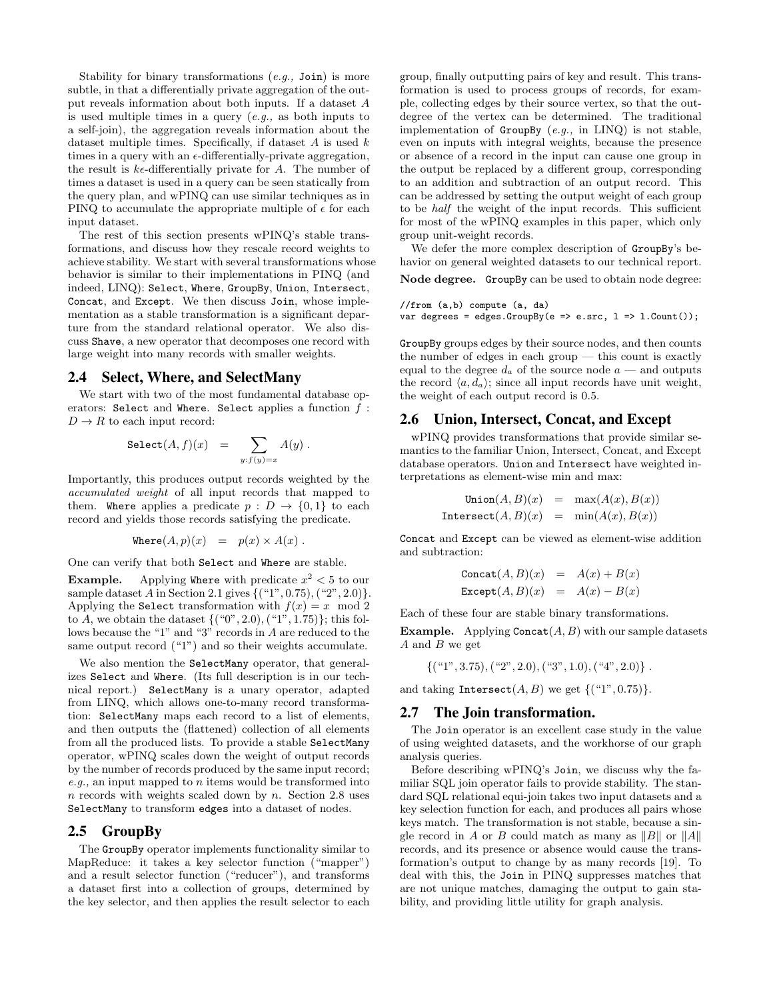Stability for binary transformations  $(e.q., Join)$  is more subtle, in that a differentially private aggregation of the output reveals information about both inputs. If a dataset A is used multiple times in a query  $(e.q., s)$  both inputs to a self-join), the aggregation reveals information about the dataset multiple times. Specifically, if dataset  $A$  is used  $k$ times in a query with an  $\epsilon$ -differentially-private aggregation, the result is  $k\epsilon$ -differentially private for A. The number of times a dataset is used in a query can be seen statically from the query plan, and wPINQ can use similar techniques as in PINQ to accumulate the appropriate multiple of  $\epsilon$  for each input dataset.

The rest of this section presents wPINQ's stable transformations, and discuss how they rescale record weights to achieve stability. We start with several transformations whose behavior is similar to their implementations in PINQ (and indeed, LINQ): Select, Where, GroupBy, Union, Intersect, Concat, and Except. We then discuss Join, whose implementation as a stable transformation is a significant departure from the standard relational operator. We also discuss Shave, a new operator that decomposes one record with large weight into many records with smaller weights.

## 2.4 Select, Where, and SelectMany

We start with two of the most fundamental database operators: Select and Where. Select applies a function  $f$  :  $D \to R$  to each input record:

$$
\texttt{Select}(A,f)(x) = \sum_{y:f(y)=x} A(y) .
$$

Importantly, this produces output records weighted by the accumulated weight of all input records that mapped to them. Where applies a predicate  $p : D \to \{0, 1\}$  to each record and yields those records satisfying the predicate.

$$
\mathtt{Where}(A,p)(x) = p(x) \times A(x) .
$$

One can verify that both Select and Where are stable.

**Example.** Applying Where with predicate  $x^2 < 5$  to our sample dataset A in Section 2.1 gives  $\{(*1", 0.75), (*2", 2.0)\}.$ Applying the Select transformation with  $f(x) = x \mod 2$ to A, we obtain the dataset  $\{({}``0", 2.0), ({}``1", 1.75)\};$  this follows because the "1" and "3" records in A are reduced to the same output record ("1") and so their weights accumulate.

We also mention the SelectMany operator, that generalizes Select and Where. (Its full description is in our technical report.) SelectMany is a unary operator, adapted from LINQ, which allows one-to-many record transformation: SelectMany maps each record to a list of elements, and then outputs the (flattened) collection of all elements from all the produced lists. To provide a stable SelectMany operator, wPINQ scales down the weight of output records by the number of records produced by the same input record; e.g., an input mapped to n items would be transformed into  $n$  records with weights scaled down by  $n$ . Section 2.8 uses SelectMany to transform edges into a dataset of nodes.

## 2.5 GroupBy

The GroupBy operator implements functionality similar to MapReduce: it takes a key selector function ("mapper") and a result selector function ("reducer"), and transforms a dataset first into a collection of groups, determined by the key selector, and then applies the result selector to each

group, finally outputting pairs of key and result. This transformation is used to process groups of records, for example, collecting edges by their source vertex, so that the outdegree of the vertex can be determined. The traditional implementation of  $GroupBy$  (e.g., in LINQ) is not stable, even on inputs with integral weights, because the presence or absence of a record in the input can cause one group in the output be replaced by a different group, corresponding to an addition and subtraction of an output record. This can be addressed by setting the output weight of each group to be half the weight of the input records. This sufficient for most of the wPINQ examples in this paper, which only group unit-weight records.

We defer the more complex description of GroupBy's behavior on general weighted datasets to our technical report.

Node degree. GroupBy can be used to obtain node degree:

```
//from (a,b) compute (a, da)
var degrees = edges.GroupBy(e => e.src, l => l.Count());
```
GroupBy groups edges by their source nodes, and then counts the number of edges in each group — this count is exactly equal to the degree  $d_a$  of the source node  $a$  — and outputs the record  $\langle a, d_a \rangle$ ; since all input records have unit weight, the weight of each output record is 0.5.

# 2.6 Union, Intersect, Concat, and Except

wPINQ provides transformations that provide similar semantics to the familiar Union, Intersect, Concat, and Except database operators. Union and Intersect have weighted interpretations as element-wise min and max:

$$
\text{Union}(A, B)(x) = \max(A(x), B(x))
$$
\n
$$
\text{Interest}(A, B)(x) = \min(A(x), B(x))
$$

Concat and Except can be viewed as element-wise addition and subtraction:

$$
Concat(A, B)(x) = A(x) + B(x)
$$
  
Except $(A, B)(x) = A(x) - B(x)$ 

Each of these four are stable binary transformations.

**Example.** Applying  $Concat(A, B)$  with our sample datasets  $A$  and  $B$  we get

 $\{({}^{\omega_1}\text{''}, 3.75),({}^{\omega_2}\text{''}, 2.0),({}^{\omega_3}\text{''}, 1.0),({}^{\omega_4}\text{''}, 2.0)\}$ .

and taking Intersect $(A, B)$  we get  $\{(*1", 0.75)\}.$ 

#### 2.7 The Join transformation.

The Join operator is an excellent case study in the value of using weighted datasets, and the workhorse of our graph analysis queries.

Before describing wPINQ's Join, we discuss why the familiar SQL join operator fails to provide stability. The standard SQL relational equi-join takes two input datasets and a key selection function for each, and produces all pairs whose keys match. The transformation is not stable, because a single record in A or B could match as many as  $||B||$  or  $||A||$ records, and its presence or absence would cause the transformation's output to change by as many records [19]. To deal with this, the Join in PINQ suppresses matches that are not unique matches, damaging the output to gain stability, and providing little utility for graph analysis.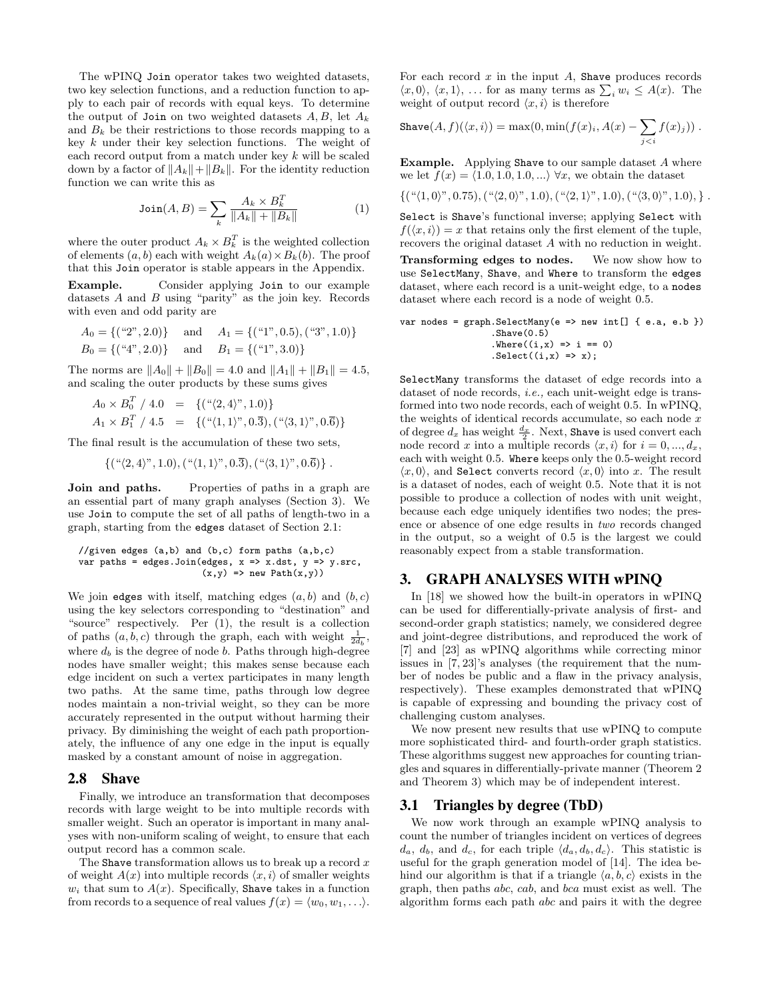The wPINQ Join operator takes two weighted datasets, two key selection functions, and a reduction function to apply to each pair of records with equal keys. To determine the output of Join on two weighted datasets  $A, B$ , let  $A_k$ and  $B_k$  be their restrictions to those records mapping to a key k under their key selection functions. The weight of each record output from a match under key k will be scaled down by a factor of  $||A_k||+||B_k||$ . For the identity reduction function we can write this as

$$
Join(A, B) = \sum_{k} \frac{A_k \times B_k^T}{\|A_k\| + \|B_k\|}
$$
 (1)

where the outer product  $A_k \times B_k^T$  is the weighted collection of elements  $(a, b)$  each with weight  $A_k(a) \times B_k(b)$ . The proof that this Join operator is stable appears in the Appendix.

Example. Consider applying Join to our example datasets  $A$  and  $B$  using "parity" as the join key. Records with even and odd parity are

$$
A_0 = \{ (*2", 2.0] \} \text{ and } A_1 = \{ (*1", 0.5), (*3", 1.0) \}
$$
  
\n
$$
B_0 = \{ (*4", 2.0] \} \text{ and } B_1 = \{ (*1", 3.0) \}
$$

The norms are  $||A_0|| + ||B_0|| = 4.0$  and  $||A_1|| + ||B_1|| = 4.5$ , and scaling the outer products by these sums gives

$$
A_0 \times B_0^T / 4.0 = \{ (" \langle 2, 4 \rangle", 1.0) \}
$$
  

$$
A_1 \times B_1^T / 4.5 = \{ (" \langle 1, 1 \rangle", 0.3), (" \langle 3, 1 \rangle", 0.6) \}
$$

The final result is the accumulation of these two sets,

 $\{({}^{\omega}(2, 4)^{\nu}, 1.0),({}^{\omega}(1, 1)^{\nu}, 0.\overline{3}),({}^{\omega}(3, 1)^{\nu}, 0.\overline{6})\}$ .

**Join and paths.** Properties of paths in a graph are an essential part of many graph analyses (Section 3). We use Join to compute the set of all paths of length-two in a graph, starting from the edges dataset of Section 2.1:

//given edges (a,b) and (b,c) form paths (a,b,c) var paths = edges.Join(edges, x => x.dst, y => y.src,  $(x,y) \Rightarrow new Path(x,y)$ 

We join edges with itself, matching edges  $(a, b)$  and  $(b, c)$ using the key selectors corresponding to "destination" and "source" respectively. Per (1), the result is a collection of paths  $(a, b, c)$  through the graph, each with weight  $\frac{1}{2d_b}$ , where  $d_b$  is the degree of node  $b$ . Paths through high-degree nodes have smaller weight; this makes sense because each edge incident on such a vertex participates in many length two paths. At the same time, paths through low degree nodes maintain a non-trivial weight, so they can be more accurately represented in the output without harming their privacy. By diminishing the weight of each path proportionately, the influence of any one edge in the input is equally masked by a constant amount of noise in aggregation.

#### 2.8 Shave

Finally, we introduce an transformation that decomposes records with large weight to be into multiple records with smaller weight. Such an operator is important in many analyses with non-uniform scaling of weight, to ensure that each output record has a common scale.

The Shave transformation allows us to break up a record  $x$ of weight  $A(x)$  into multiple records  $\langle x, i \rangle$  of smaller weights  $w_i$  that sum to  $A(x)$ . Specifically, Shave takes in a function from records to a sequence of real values  $f(x) = \langle w_0, w_1, \ldots \rangle$ . For each record  $x$  in the input  $A$ , **Shave** produces records  $\langle x, 0 \rangle$ ,  $\langle x, 1 \rangle$ , ... for as many terms as  $\sum_i w_i \leq A(x)$ . The weight of output record  $\langle x, i \rangle$  is therefore

$$
\text{Shave}(A, f)(\langle x, i \rangle) = \max(0, \min(f(x)_i, A(x) - \sum_{j
$$

Example. Applying Shave to our sample dataset A where we let  $f(x) = \langle 1.0, 1.0, 1.0, \ldots \rangle \ \forall x$ , we obtain the dataset

 $\{({}^{\omega}(1, 0)^{\nu}, 0.75),({}^{\omega}(2, 0)^{\nu}, 1.0),({}^{\omega}(2, 1)^{\nu}, 1.0),({}^{\omega}(3, 0)^{\nu}, 1.0), \}$ .

Select is Shave's functional inverse; applying Select with  $f(\langle x, i \rangle) = x$  that retains only the first element of the tuple, recovers the original dataset A with no reduction in weight.

Transforming edges to nodes. We now show how to use SelectMany, Shave, and Where to transform the edges dataset, where each record is a unit-weight edge, to a nodes dataset where each record is a node of weight 0.5.

```
var nodes = graph.SelectMany(e => new int[] { e.a, e.b })
                    .Shave(0.5)
                    .Where((i,x) \Rightarrow i == 0)
                    .Select((i,x) \Rightarrow x);
```
SelectMany transforms the dataset of edge records into a dataset of node records, *i.e.*, each unit-weight edge is transformed into two node records, each of weight 0.5. In wPINQ, the weights of identical records accumulate, so each node  $x$ of degree  $d_x$  has weight  $\frac{d_x}{2}$ . Next, **Shave** is used convert each node record x into a multiple records  $\langle x, i \rangle$  for  $i = 0, ..., d_x$ , each with weight 0.5. Where keeps only the 0.5-weight record  $\langle x, 0 \rangle$ , and Select converts record  $\langle x, 0 \rangle$  into x. The result is a dataset of nodes, each of weight 0.5. Note that it is not possible to produce a collection of nodes with unit weight, because each edge uniquely identifies two nodes; the presence or absence of one edge results in two records changed in the output, so a weight of 0.5 is the largest we could reasonably expect from a stable transformation.

## 3. GRAPH ANALYSES WITH wPINQ

In [18] we showed how the built-in operators in wPINQ can be used for differentially-private analysis of first- and second-order graph statistics; namely, we considered degree and joint-degree distributions, and reproduced the work of [7] and [23] as wPINQ algorithms while correcting minor issues in [7, 23]'s analyses (the requirement that the number of nodes be public and a flaw in the privacy analysis, respectively). These examples demonstrated that wPINQ is capable of expressing and bounding the privacy cost of challenging custom analyses.

We now present new results that use wPINQ to compute more sophisticated third- and fourth-order graph statistics. These algorithms suggest new approaches for counting triangles and squares in differentially-private manner (Theorem 2 and Theorem 3) which may be of independent interest.

# 3.1 Triangles by degree (TbD)

We now work through an example wPINQ analysis to count the number of triangles incident on vertices of degrees  $d_a, d_b,$  and  $d_c$ , for each triple  $\langle d_a, d_b, d_c \rangle$ . This statistic is useful for the graph generation model of [14]. The idea behind our algorithm is that if a triangle  $\langle a, b, c \rangle$  exists in the graph, then paths abc, cab, and bca must exist as well. The algorithm forms each path abc and pairs it with the degree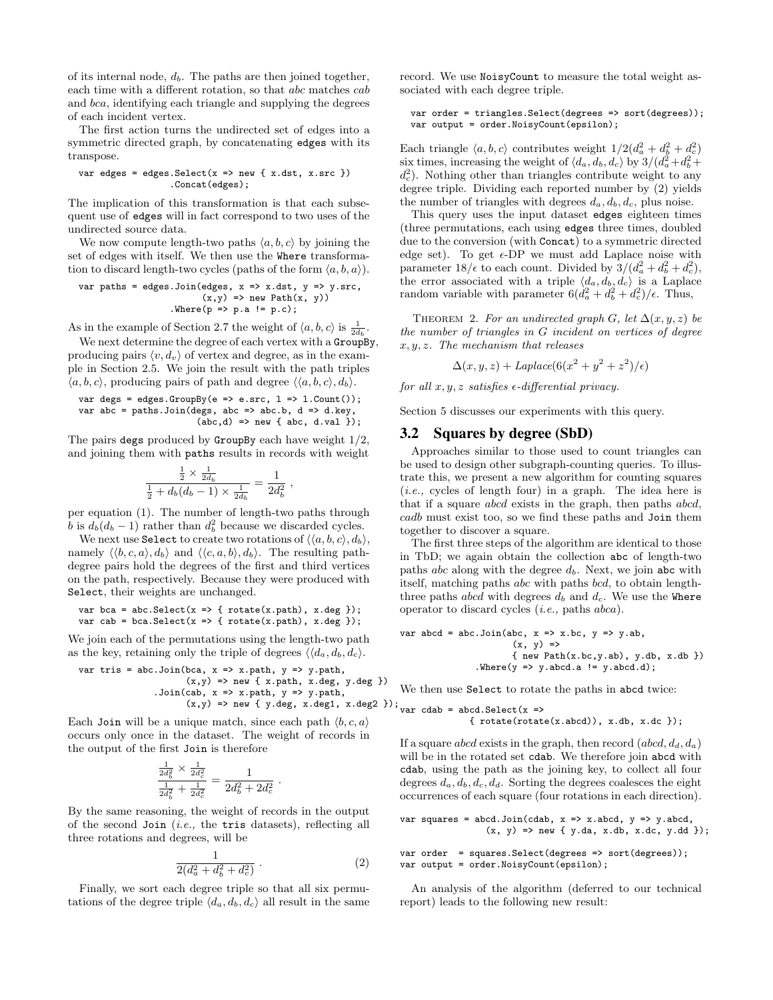of its internal node,  $d_b$ . The paths are then joined together, each time with a different rotation, so that abc matches cab and bca, identifying each triangle and supplying the degrees of each incident vertex.

The first action turns the undirected set of edges into a symmetric directed graph, by concatenating edges with its transpose.

$$
var edges = edges.Select(x => new { x.dat, x.src } )
$$
  
.  
Concat(edges);

The implication of this transformation is that each subsequent use of edges will in fact correspond to two uses of the undirected source data.

We now compute length-two paths  $\langle a, b, c \rangle$  by joining the set of edges with itself. We then use the Where transformation to discard length-two cycles (paths of the form  $\langle a, b, a \rangle$ ).

\n
$$
\text{var paths} = \text{edges.Join}(\text{edges, } x \Rightarrow x \cdot \text{dst, } y \Rightarrow y \cdot \text{src, } (x, y) \Rightarrow \text{new Path}(x, y))
$$
\n

\n\n $\text{where}(p \Rightarrow p \cdot a \neq p \cdot c);$ \n

As in the example of Section 2.7 the weight of  $\langle a, b, c \rangle$  is  $\frac{1}{2d_b}$ .

We next determine the degree of each vertex with a **GroupBy**, producing pairs  $\langle v, d_v \rangle$  of vertex and degree, as in the example in Section 2.5. We join the result with the path triples  $\langle a, b, c \rangle$ , producing pairs of path and degree  $\langle \langle a, b, c \rangle, d_b \rangle$ .

var 
$$
degs = edges.GroupBy(e => e.src, 1 => 1.Count());
$$
  
var  $abc = paths.Join(degs, abc => abc.b, d => d.key, (abc,d) => new {abc, d.val });$ 

The pairs degs produced by GroupBy each have weight  $1/2$ , and joining them with paths results in records with weight

$$
\frac{\frac{1}{2} \times \frac{1}{2d_b}}{\frac{1}{2} + d_b(d_b - 1) \times \frac{1}{2d_b}} = \frac{1}{2d_b^2},
$$

per equation (1). The number of length-two paths through b is  $d_b(d_b - 1)$  rather than  $d_b^2$  because we discarded cycles.

We next use **Select** to create two rotations of  $\langle \langle a, b, c \rangle, d_b \rangle$ , namely  $\langle \langle b, c, a \rangle, d_b \rangle$  and  $\langle \langle c, a, b \rangle, d_b \rangle$ . The resulting pathdegree pairs hold the degrees of the first and third vertices on the path, respectively. Because they were produced with Select, their weights are unchanged.

```
var bca = abc.Select(x \Rightarrow { rotate(x.path), x.deg});
var cab = bca.Select(x => { rotate(x.\overline{path}), x.\overline{deg} });
```
We join each of the permutations using the length-two path as the key, retaining only the triple of degrees  $\langle \langle d_a, d_b, d_c \rangle$ .

var tris = abc.Join(bca, x => x.path, y => y.path, (x,y) => new { x.path, x.deg, y.deg }) .Join(cab, x => x.path, y => y.path, (x,y) => new { y.deg, x.deg1, x.deg2 });

Each Join will be a unique match, since each path  $\langle b, c, a \rangle$ occurs only once in the dataset. The weight of records in the output of the first Join is therefore

$$
\frac{\frac{1}{2d_b^2} \times \frac{1}{2d_c^2}}{\frac{1}{2d_b^2} + \frac{1}{2d_c^2}} = \frac{1}{2d_b^2 + 2d_c^2}
$$

By the same reasoning, the weight of records in the output of the second Join (i.e., the tris datasets), reflecting all three rotations and degrees, will be

$$
\frac{1}{2(d_a^2 + d_b^2 + d_c^2)}\tag{2}
$$

.

Finally, we sort each degree triple so that all six permutations of the degree triple  $\langle d_a, d_b, d_c \rangle$  all result in the same record. We use NoisyCount to measure the total weight associated with each degree triple.

var order = triangles.Select(degrees => sort(degrees)); var output = order.NoisyCount(epsilon);

Each triangle  $\langle a, b, c \rangle$  contributes weight  $1/2(d_a^2 + d_b^2 + d_c^2)$ six times, increasing the weight of  $\langle d_a, d_b, d_c \rangle$  by  $3/(d_a^2+d_b^2 +$  $d_c^2$ ). Nothing other than triangles contribute weight to any degree triple. Dividing each reported number by (2) yields the number of triangles with degrees  $d_a, d_b, d_c$ , plus noise.

This query uses the input dataset edges eighteen times (three permutations, each using edges three times, doubled due to the conversion (with Concat) to a symmetric directed edge set). To get  $\epsilon$ -DP we must add Laplace noise with parameter  $18/\epsilon$  to each count. Divided by  $3/(d_a^2 + d_b^2 + d_c^2)$ , the error associated with a triple  $\langle d_a, d_b, d_c \rangle$  is a Laplace random variable with parameter  $6(d_a^2 + d_b^2 + d_c^2)/\epsilon$ . Thus,

THEOREM 2. For an undirected graph G, let  $\Delta(x, y, z)$  be the number of triangles in G incident on vertices of degree  $x, y, z$ . The mechanism that releases

$$
\Delta(x, y, z) + Laplace(6(x2 + y2 + z2)/\epsilon)
$$

for all  $x, y, z$  satisfies  $\epsilon$ -differential privacy.

Section 5 discusses our experiments with this query.

#### 3.2 Squares by degree (SbD)

Approaches similar to those used to count triangles can be used to design other subgraph-counting queries. To illustrate this, we present a new algorithm for counting squares (i.e., cycles of length four) in a graph. The idea here is that if a square abcd exists in the graph, then paths abcd, cadb must exist too, so we find these paths and Join them together to discover a square.

The first three steps of the algorithm are identical to those in TbD; we again obtain the collection abc of length-two paths abc along with the degree  $d_b$ . Next, we join abc with itself, matching paths abc with paths bcd, to obtain lengththree paths *abcd* with degrees  $d_b$  and  $d_c$ . We use the Where operator to discard cycles (i.e., paths abca).

\n
$$
\text{var abcd} = \text{abc.Join}(\text{abc}, x \Rightarrow x \cdot \text{bc}, y \Rightarrow y \cdot \text{ab},
$$
\n $(x, y) \Rightarrow$ \n $\{\text{new Path}(x \cdot \text{bc}, y \cdot \text{ab}), y \cdot \text{db}, x \cdot \text{db}\}$ \n $\text{where}(y \Rightarrow y \cdot \text{abcd}.a \equiv y \cdot \text{abcd}.d);$ \n

We then use Select to rotate the paths in abcd twice:

$$
Var \text{ cdab} = abcd.Select}(x \Rightarrow
$$

$$
\{ \; \text{rotate}(\text{rotate}(x.\text{abcd})), \; x.db, \; x.dc \; \});
$$

If a square abcd exists in the graph, then record  $(abcd, d_d, d_a)$ will be in the rotated set cdab. We therefore join abcd with cdab, using the path as the joining key, to collect all four degrees  $d_a, d_b, d_c, d_d$ . Sorting the degrees coalesces the eight occurrences of each square (four rotations in each direction).

var squares = abcd.Join(cdab, x => x.abcd, y => y.abcd, (x, y) => new { y.da, x.db, x.dc, y.dd });

var order = squares.Select(degrees => sort(degrees)); var output = order.NoisyCount(epsilon);

An analysis of the algorithm (deferred to our technical report) leads to the following new result: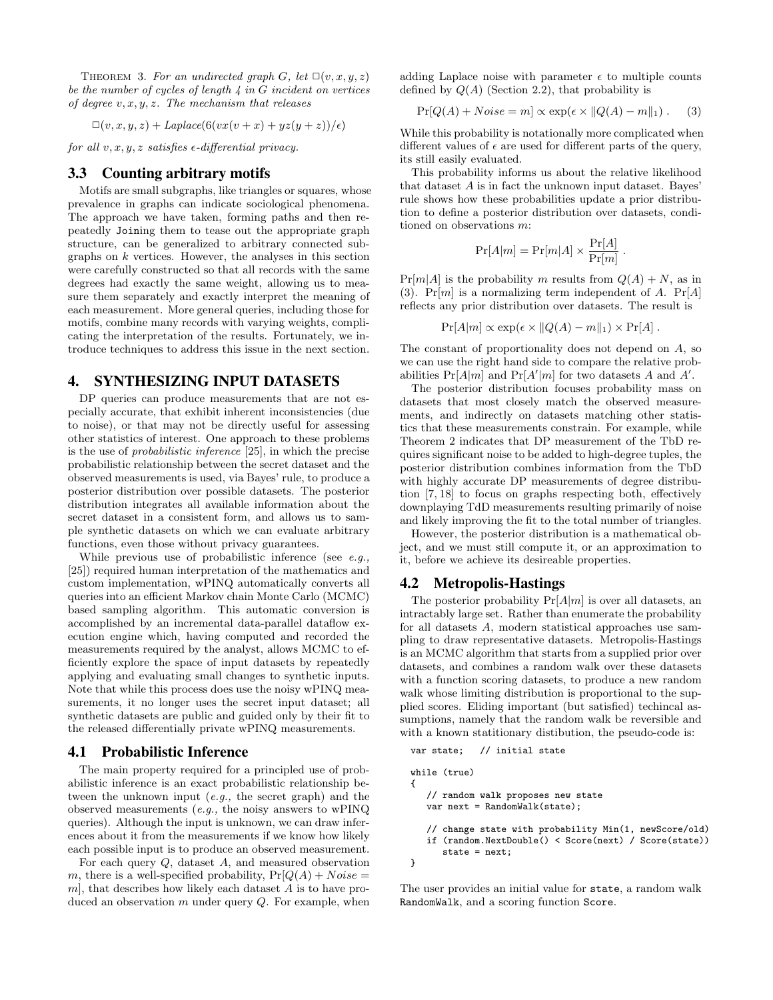THEOREM 3. For an undirected graph G, let  $\Box(v, x, y, z)$ be the number of cycles of length  $\lambda$  in G incident on vertices of degree  $v, x, y, z$ . The mechanism that releases

$$
\Box(v, x, y, z) + Laplace(6(vx(v+x) + yz(y+z))/\epsilon)
$$

for all  $v, x, y, z$  satisfies  $\epsilon$ -differential privacy.

# 3.3 Counting arbitrary motifs

Motifs are small subgraphs, like triangles or squares, whose prevalence in graphs can indicate sociological phenomena. The approach we have taken, forming paths and then repeatedly Joining them to tease out the appropriate graph structure, can be generalized to arbitrary connected subgraphs on  $k$  vertices. However, the analyses in this section were carefully constructed so that all records with the same degrees had exactly the same weight, allowing us to measure them separately and exactly interpret the meaning of each measurement. More general queries, including those for motifs, combine many records with varying weights, complicating the interpretation of the results. Fortunately, we introduce techniques to address this issue in the next section.

# 4. SYNTHESIZING INPUT DATASETS

DP queries can produce measurements that are not especially accurate, that exhibit inherent inconsistencies (due to noise), or that may not be directly useful for assessing other statistics of interest. One approach to these problems is the use of probabilistic inference [25], in which the precise probabilistic relationship between the secret dataset and the observed measurements is used, via Bayes' rule, to produce a posterior distribution over possible datasets. The posterior distribution integrates all available information about the secret dataset in a consistent form, and allows us to sample synthetic datasets on which we can evaluate arbitrary functions, even those without privacy guarantees.

While previous use of probabilistic inference (see  $e.g.,$ [25]) required human interpretation of the mathematics and custom implementation, wPINQ automatically converts all queries into an efficient Markov chain Monte Carlo (MCMC) based sampling algorithm. This automatic conversion is accomplished by an incremental data-parallel dataflow execution engine which, having computed and recorded the measurements required by the analyst, allows MCMC to efficiently explore the space of input datasets by repeatedly applying and evaluating small changes to synthetic inputs. Note that while this process does use the noisy wPINQ measurements, it no longer uses the secret input dataset; all synthetic datasets are public and guided only by their fit to the released differentially private wPINQ measurements.

#### 4.1 Probabilistic Inference

The main property required for a principled use of probabilistic inference is an exact probabilistic relationship between the unknown input (e.g., the secret graph) and the observed measurements  $(e.q.,\)$  the noisy answers to wPINQ queries). Although the input is unknown, we can draw inferences about it from the measurements if we know how likely each possible input is to produce an observed measurement.

For each query Q, dataset A, and measured observation m, there is a well-specified probability,  $Pr[Q(A) + Noise =$  $m$ , that describes how likely each dataset A is to have produced an observation  $m$  under query  $Q$ . For example, when adding Laplace noise with parameter  $\epsilon$  to multiple counts defined by  $Q(A)$  (Section 2.2), that probability is

$$
Pr[Q(A) + Noise = m] \propto \exp(\epsilon \times ||Q(A) - m||_1). \quad (3)
$$

While this probability is notationally more complicated when different values of  $\epsilon$  are used for different parts of the query, its still easily evaluated.

This probability informs us about the relative likelihood that dataset A is in fact the unknown input dataset. Bayes' rule shows how these probabilities update a prior distribution to define a posterior distribution over datasets, conditioned on observations m:

$$
Pr[A|m] = Pr[m|A] \times \frac{Pr[A]}{Pr[m]}.
$$

 $Pr[m|A]$  is the probability m results from  $Q(A) + N$ , as in (3). Pr $[m]$  is a normalizing term independent of A. Pr $[A]$ reflects any prior distribution over datasets. The result is

$$
\Pr[A|m] \propto \exp(\epsilon \times ||Q(A) - m||_1) \times \Pr[A].
$$

The constant of proportionality does not depend on A, so we can use the right hand side to compare the relative probabilities  $Pr[A|m]$  and  $Pr[A'|m]$  for two datasets A and A'.

The posterior distribution focuses probability mass on datasets that most closely match the observed measurements, and indirectly on datasets matching other statistics that these measurements constrain. For example, while Theorem 2 indicates that DP measurement of the TbD requires significant noise to be added to high-degree tuples, the posterior distribution combines information from the TbD with highly accurate DP measurements of degree distribution [7, 18] to focus on graphs respecting both, effectively downplaying TdD measurements resulting primarily of noise and likely improving the fit to the total number of triangles.

However, the posterior distribution is a mathematical object, and we must still compute it, or an approximation to it, before we achieve its desireable properties.

# 4.2 Metropolis-Hastings

The posterior probability  $Pr[A|m]$  is over all datasets, an intractably large set. Rather than enumerate the probability for all datasets A, modern statistical approaches use sampling to draw representative datasets. Metropolis-Hastings is an MCMC algorithm that starts from a supplied prior over datasets, and combines a random walk over these datasets with a function scoring datasets, to produce a new random walk whose limiting distribution is proportional to the supplied scores. Eliding important (but satisfied) techincal assumptions, namely that the random walk be reversible and with a known statitionary distibution, the pseudo-code is:

```
var state; // initial state
while (true)
{
   // random walk proposes new state
   varnext = RandomWalk(state);
   // change state with probability Min(1, newScore/old)
   if (random.NextDouble() < Score(next) / Score(state))
      state = next;
}
```
The user provides an initial value for state, a random walk RandomWalk, and a scoring function Score.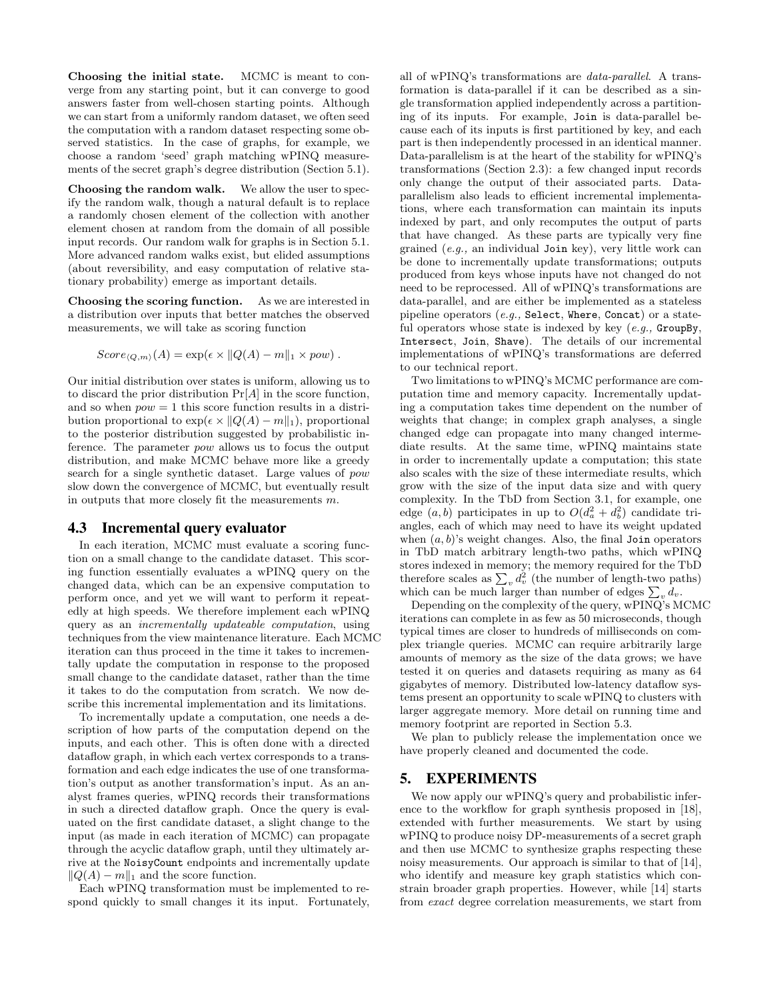Choosing the initial state. MCMC is meant to converge from any starting point, but it can converge to good answers faster from well-chosen starting points. Although we can start from a uniformly random dataset, we often seed the computation with a random dataset respecting some observed statistics. In the case of graphs, for example, we choose a random 'seed' graph matching wPINQ measurements of the secret graph's degree distribution (Section 5.1).

Choosing the random walk. We allow the user to specify the random walk, though a natural default is to replace a randomly chosen element of the collection with another element chosen at random from the domain of all possible input records. Our random walk for graphs is in Section 5.1. More advanced random walks exist, but elided assumptions (about reversibility, and easy computation of relative stationary probability) emerge as important details.

Choosing the scoring function. As we are interested in a distribution over inputs that better matches the observed measurements, we will take as scoring function

$$
Score_{\langle Q,m\rangle}(A)=\exp(\epsilon \times ||Q(A)-m||_1 \times pow).
$$

Our initial distribution over states is uniform, allowing us to to discard the prior distribution  $Pr[A]$  in the score function, and so when  $pow = 1$  this score function results in a distribution proportional to  $\exp(\epsilon \times ||Q(A) - m||_1)$ , proportional to the posterior distribution suggested by probabilistic inference. The parameter pow allows us to focus the output distribution, and make MCMC behave more like a greedy search for a single synthetic dataset. Large values of pow slow down the convergence of MCMC, but eventually result in outputs that more closely fit the measurements m.

# 4.3 Incremental query evaluator

In each iteration, MCMC must evaluate a scoring function on a small change to the candidate dataset. This scoring function essentially evaluates a wPINQ query on the changed data, which can be an expensive computation to perform once, and yet we will want to perform it repeatedly at high speeds. We therefore implement each wPINQ query as an incrementally updateable computation, using techniques from the view maintenance literature. Each MCMC iteration can thus proceed in the time it takes to incrementally update the computation in response to the proposed small change to the candidate dataset, rather than the time it takes to do the computation from scratch. We now describe this incremental implementation and its limitations.

To incrementally update a computation, one needs a description of how parts of the computation depend on the inputs, and each other. This is often done with a directed dataflow graph, in which each vertex corresponds to a transformation and each edge indicates the use of one transformation's output as another transformation's input. As an analyst frames queries, wPINQ records their transformations in such a directed dataflow graph. Once the query is evaluated on the first candidate dataset, a slight change to the input (as made in each iteration of MCMC) can propagate through the acyclic dataflow graph, until they ultimately arrive at the NoisyCount endpoints and incrementally update  $||Q(A) - m||_1$  and the score function.

Each wPINQ transformation must be implemented to respond quickly to small changes it its input. Fortunately, all of wPINQ's transformations are data-parallel. A transformation is data-parallel if it can be described as a single transformation applied independently across a partitioning of its inputs. For example, Join is data-parallel because each of its inputs is first partitioned by key, and each part is then independently processed in an identical manner. Data-parallelism is at the heart of the stability for wPINQ's transformations (Section 2.3): a few changed input records only change the output of their associated parts. Dataparallelism also leads to efficient incremental implementations, where each transformation can maintain its inputs indexed by part, and only recomputes the output of parts that have changed. As these parts are typically very fine grained (e.g., an individual Join key), very little work can be done to incrementally update transformations; outputs produced from keys whose inputs have not changed do not need to be reprocessed. All of wPINQ's transformations are data-parallel, and are either be implemented as a stateless pipeline operators (e.g., Select, Where, Concat) or a stateful operators whose state is indexed by key  $(e.g., \text{GroupBy},$ Intersect, Join, Shave). The details of our incremental implementations of wPINQ's transformations are deferred to our technical report.

Two limitations to wPINQ's MCMC performance are computation time and memory capacity. Incrementally updating a computation takes time dependent on the number of weights that change; in complex graph analyses, a single changed edge can propagate into many changed intermediate results. At the same time, wPINQ maintains state in order to incrementally update a computation; this state also scales with the size of these intermediate results, which grow with the size of the input data size and with query complexity. In the TbD from Section 3.1, for example, one edge  $(a, b)$  participates in up to  $O(d_a^2 + d_b^2)$  candidate triangles, each of which may need to have its weight updated when  $(a, b)$ 's weight changes. Also, the final Join operators in TbD match arbitrary length-two paths, which wPINQ stores indexed in memory; the memory required for the TbD therefore scales as  $\sum_{v} d_v^2$  (the number of length-two paths) which can be much larger than number of edges  $\sum_{v} d_v$ .

Depending on the complexity of the query, wPINQ's MCMC iterations can complete in as few as 50 microseconds, though typical times are closer to hundreds of milliseconds on complex triangle queries. MCMC can require arbitrarily large amounts of memory as the size of the data grows; we have tested it on queries and datasets requiring as many as 64 gigabytes of memory. Distributed low-latency dataflow systems present an opportunity to scale wPINQ to clusters with larger aggregate memory. More detail on running time and memory footprint are reported in Section 5.3.

We plan to publicly release the implementation once we have properly cleaned and documented the code.

# 5. EXPERIMENTS

We now apply our wPINQ's query and probabilistic inference to the workflow for graph synthesis proposed in [18], extended with further measurements. We start by using wPINQ to produce noisy DP-measurements of a secret graph and then use MCMC to synthesize graphs respecting these noisy measurements. Our approach is similar to that of [14], who identify and measure key graph statistics which constrain broader graph properties. However, while [14] starts from exact degree correlation measurements, we start from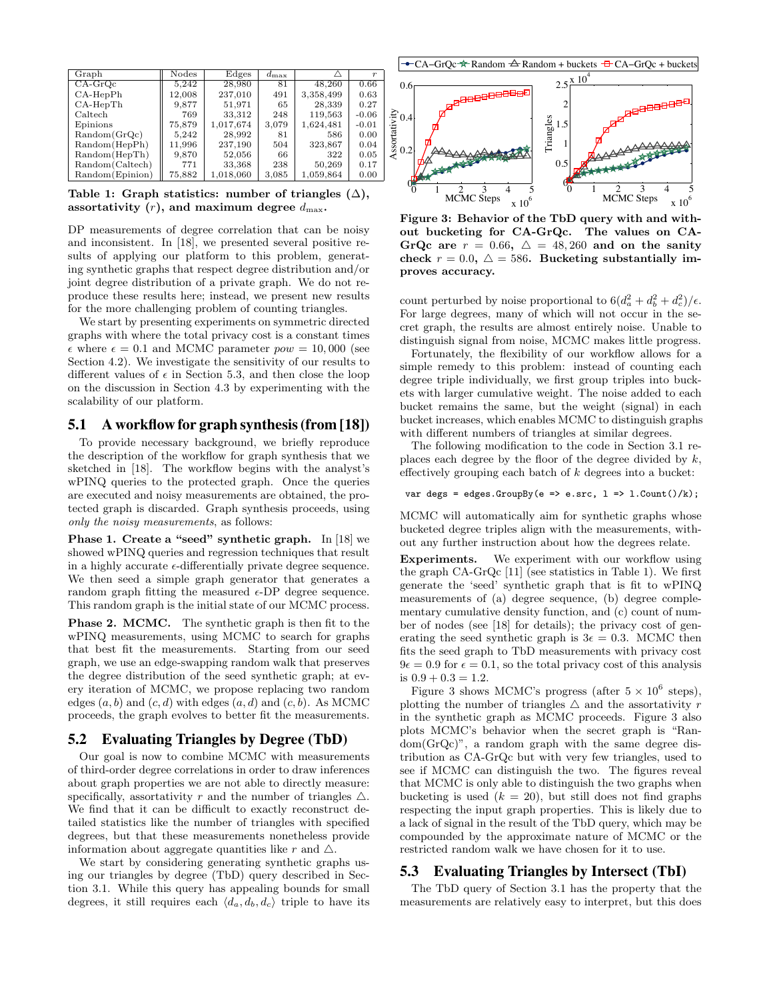| Graph           | Nodes  | Edges     | $d_{\rm max}$ |           | $\boldsymbol{r}$ |
|-----------------|--------|-----------|---------------|-----------|------------------|
| $CA-GrQc$       | 5.242  | 28,980    | 81            | 48,260    | 0.66             |
| $CA-HepPh$      | 12,008 | 237,010   | 491           | 3,358,499 | 0.63             |
| $CA-HepTh$      | 9.877  | 51,971    | 65            | 28,339    | 0.27             |
| Caltech         | 769    | 33,312    | 248           | 119,563   | $-0.06$          |
| Epinions        | 75,879 | 1,017,674 | 3,079         | 1,624,481 | $-0.01$          |
| Random(GrQc)    | 5.242  | 28,992    | 81            | 586       | 0.00             |
| Random(HepPh)   | 11,996 | 237,190   | 504           | 323,867   | 0.04             |
| Random(HepTh)   | 9,870  | 52,056    | 66            | 322       | 0.05             |
| Random(Caltech) | 771    | 33,368    | 238           | 50,269    | 0.17             |
| Random(Epinion) | 75,882 | 1,018,060 | 3,085         | 1,059,864 | 0.00             |

Table 1: Graph statistics: number of triangles  $(\Delta)$ , assortativity  $(r)$ , and maximum degree  $d_{\text{max}}$ .

DP measurements of degree correlation that can be noisy and inconsistent. In [18], we presented several positive results of applying our platform to this problem, generating synthetic graphs that respect degree distribution and/or joint degree distribution of a private graph. We do not reproduce these results here; instead, we present new results for the more challenging problem of counting triangles.

We start by presenting experiments on symmetric directed graphs with where the total privacy cost is a constant times  $\epsilon$  where  $\epsilon = 0.1$  and MCMC parameter  $pow = 10,000$  (see Section 4.2). We investigate the sensitivity of our results to different values of  $\epsilon$  in Section 5.3, and then close the loop on the discussion in Section 4.3 by experimenting with the scalability of our platform.

### 5.1 A workflow for graph synthesis (from [18])

To provide necessary background, we briefly reproduce the description of the workflow for graph synthesis that we sketched in [18]. The workflow begins with the analyst's wPINQ queries to the protected graph. Once the queries are executed and noisy measurements are obtained, the protected graph is discarded. Graph synthesis proceeds, using only the noisy measurements, as follows:

Phase 1. Create a "seed" synthetic graph. In [18] we showed wPINQ queries and regression techniques that result in a highly accurate  $\epsilon$ -differentially private degree sequence. We then seed a simple graph generator that generates a random graph fitting the measured  $\epsilon$ -DP degree sequence. This random graph is the initial state of our MCMC process.

Phase 2. MCMC. The synthetic graph is then fit to the wPINQ measurements, using MCMC to search for graphs that best fit the measurements. Starting from our seed graph, we use an edge-swapping random walk that preserves the degree distribution of the seed synthetic graph; at every iteration of MCMC, we propose replacing two random edges  $(a, b)$  and  $(c, d)$  with edges  $(a, d)$  and  $(c, b)$ . As MCMC proceeds, the graph evolves to better fit the measurements.

# 5.2 Evaluating Triangles by Degree (TbD)

Our goal is now to combine MCMC with measurements of third-order degree correlations in order to draw inferences about graph properties we are not able to directly measure: specifically, assortativity r and the number of triangles  $\Delta$ . We find that it can be difficult to exactly reconstruct detailed statistics like the number of triangles with specified degrees, but that these measurements nonetheless provide information about aggregate quantities like r and  $\triangle$ .

We start by considering generating synthetic graphs using our triangles by degree (TbD) query described in Section 3.1. While this query has appealing bounds for small



Figure 3: Behavior of the TbD query with and without bucketing for CA-GrQc. The values on CA-GrQc are  $r = 0.66$ ,  $\triangle = 48,260$  and on the sanity check  $r = 0.0$ ,  $\Delta = 586$ . Bucketing substantially improves accuracy.

count perturbed by noise proportional to  $6(d_a^2 + d_b^2 + d_c^2)/\epsilon$ . For large degrees, many of which will not occur in the secret graph, the results are almost entirely noise. Unable to distinguish signal from noise, MCMC makes little progress.

Fortunately, the flexibility of our workflow allows for a simple remedy to this problem: instead of counting each degree triple individually, we first group triples into buckets with larger cumulative weight. The noise added to each bucket remains the same, but the weight (signal) in each bucket increases, which enables MCMC to distinguish graphs with different numbers of triangles at similar degrees.

The following modification to the code in Section 3.1 replaces each degree by the floor of the degree divided by  $k$ , effectively grouping each batch of  $k$  degrees into a bucket:

# var degs = edges. GroupBy(e => e.src,  $1 =$ > 1. Count()/k);

MCMC will automatically aim for synthetic graphs whose bucketed degree triples align with the measurements, without any further instruction about how the degrees relate.

Experiments. We experiment with our workflow using the graph CA-GrQc [11] (see statistics in Table 1). We first generate the 'seed' synthetic graph that is fit to wPINQ measurements of (a) degree sequence, (b) degree complementary cumulative density function, and (c) count of number of nodes (see [18] for details); the privacy cost of generating the seed synthetic graph is  $3\epsilon = 0.3$ . MCMC then fits the seed graph to TbD measurements with privacy cost  $9\epsilon = 0.9$  for  $\epsilon = 0.1$ , so the total privacy cost of this analysis is  $0.9 + 0.3 = 1.2$ .

Table 11 Geopha training in equilibration and the state of training in the state of training in the state of training in the state of training in the state of the state of the state of the state of the state of the state Figure 3 shows MCMC's progress (after  $5 \times 10^6$  steps), plotting the number of triangles  $\Delta$  and the assortativity r in the synthetic graph as MCMC proceeds. Figure 3 also plots MCMC's behavior when the secret graph is "Random(GrQc)", a random graph with the same degree distribution as CA-GrQc but with very few triangles, used to see if MCMC can distinguish the two. The figures reveal that MCMC is only able to distinguish the two graphs when bucketing is used  $(k = 20)$ , but still does not find graphs respecting the input graph properties. This is likely due to a lack of signal in the result of the TbD query, which may be compounded by the approximate nature of MCMC or the restricted random walk we have chosen for it to use.

#### 5.3 Evaluating Triangles by Intersect (TbI)

The TbD query of Section 3.1 has the property that the measurements are relatively easy to interpret, but this does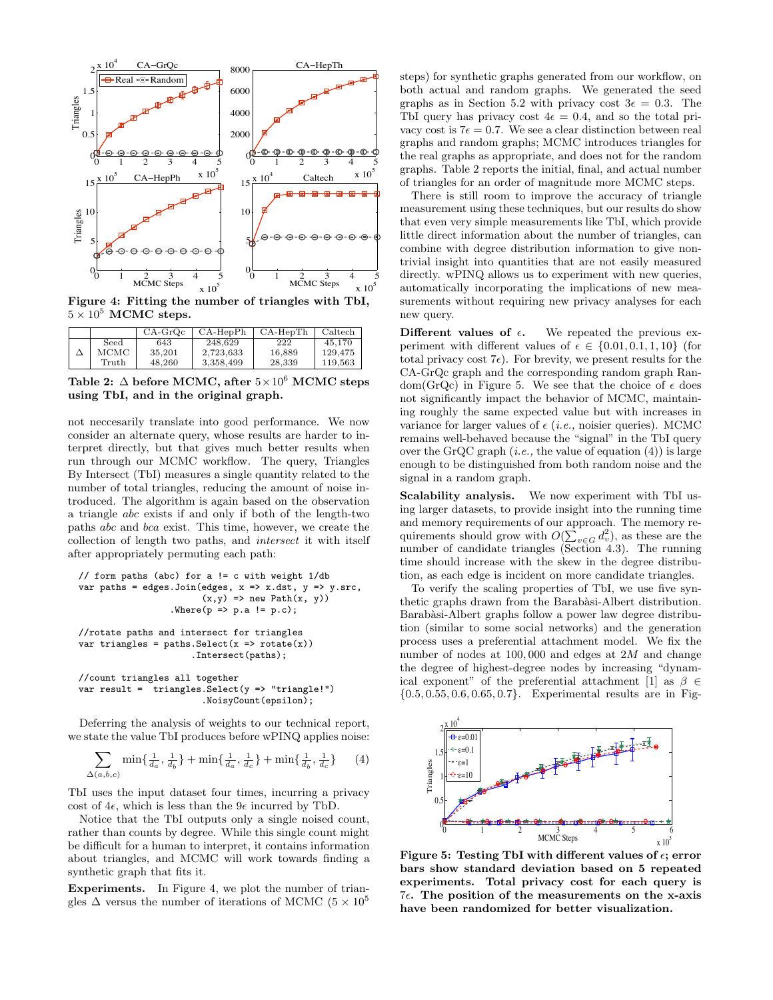

Figure 4: Fitting the number of triangles with TbI,  $5 \times 10^5$  MCMC steps.

|              | $CA-GrOc$     | $CA-HepPh$           | $CA-HeD$      | Caltech           |
|--------------|---------------|----------------------|---------------|-------------------|
| Seed<br>MCMC | 643<br>35.201 | 248.629<br>2.723.633 | 222<br>16.889 | 45.170<br>129.475 |
| Truth        | 48.260        | 3,358,499            | 28.339        | 119.563           |

Table 2:  $\Delta$  before MCMC, after  $5 \times 10^6$  MCMC steps using TbI, and in the original graph.

not neccesarily translate into good performance. We now consider an alternate query, whose results are harder to interpret directly, but that gives much better results when run through our MCMC workflow. The query, Triangles By Intersect (TbI) measures a single quantity related to the number of total triangles, reducing the amount of noise introduced. The algorithm is again based on the observation a triangle abc exists if and only if both of the length-two paths abc and bca exist. This time, however, we create the collection of length two paths, and intersect it with itself after appropriately permuting each path:

// form paths (abc) for a != c with weight 1/db var paths = edges.Join(edges, x => x.dst, y => y.src, (x,y) => new Path(x, y)) .Where(p => p.a != p.c); //rotate paths and intersect for triangles var triangles = paths.Select(x => rotate(x)) .Intersect(paths); //count triangles all together var result = triangles.Select(y => "triangle!")

Deferring the analysis of weights to our technical report, we state the value TbI produces before wPINQ applies noise:

$$
\sum_{\Delta(a,b,c)} \min\{\frac{1}{d_a}, \frac{1}{d_b}\} + \min\{\frac{1}{d_a}, \frac{1}{d_c}\} + \min\{\frac{1}{d_b}, \frac{1}{d_c}\} \tag{4}
$$

.NoisyCount(epsilon);

TbI uses the input dataset four times, incurring a privacy cost of  $4\epsilon$ , which is less than the  $9\epsilon$  incurred by TbD.

Notice that the TbI outputs only a single noised count, rather than counts by degree. While this single count might be difficult for a human to interpret, it contains information about triangles, and MCMC will work towards finding a synthetic graph that fits it.

Experiments. In Figure 4, we plot the number of triangles  $\Delta$  versus the number of iterations of MCMC (5  $\times$  10<sup>5</sup>)

steps) for synthetic graphs generated from our workflow, on both actual and random graphs. We generated the seed graphs as in Section 5.2 with privacy cost  $3\epsilon = 0.3$ . The TbI query has privacy cost  $4\epsilon = 0.4$ , and so the total privacy cost is  $7\epsilon = 0.7$ . We see a clear distinction between real graphs and random graphs; MCMC introduces triangles for the real graphs as appropriate, and does not for the random graphs. Table 2 reports the initial, final, and actual number of triangles for an order of magnitude more MCMC steps.

There is still room to improve the accuracy of triangle measurement using these techniques, but our results do show that even very simple measurements like TbI, which provide little direct information about the number of triangles, can combine with degree distribution information to give nontrivial insight into quantities that are not easily measured directly. wPINQ allows us to experiment with new queries, automatically incorporating the implications of new measurements without requiring new privacy analyses for each new query.

Different values of  $\epsilon$ . We repeated the previous experiment with different values of  $\epsilon \in \{0.01, 0.1, 1, 10\}$  (for total privacy cost  $7\epsilon$ ). For brevity, we present results for the CA-GrQc graph and the corresponding random graph Random(GrQc) in Figure 5. We see that the choice of  $\epsilon$  does not significantly impact the behavior of MCMC, maintaining roughly the same expected value but with increases in variance for larger values of  $\epsilon$  (*i.e.*, noisier queries). MCMC remains well-behaved because the "signal" in the TbI query over the GrQC graph (*i.e.*, the value of equation  $(4)$ ) is large enough to be distinguished from both random noise and the signal in a random graph.

Scalability analysis. We now experiment with TbI using larger datasets, to provide insight into the running time and memory requirements of our approach. The memory requirements should grow with  $O(\sum_{v \in G} d_v^2)$ , as these are the number of candidate triangles (Section 4.3). The running time should increase with the skew in the degree distribution, as each edge is incident on more candidate triangles.

To verify the scaling properties of TbI, we use five synthetic graphs drawn from the Barabàsi-Albert distribution. Barabàsi-Albert graphs follow a power law degree distribution (similar to some social networks) and the generation process uses a preferential attachment model. We fix the number of nodes at 100, 000 and edges at 2M and change the degree of highest-degree nodes by increasing "dynamical exponent" of the preferential attachment [1] as  $\beta \in$ {0.5, 0.55, 0.6, 0.65, 0.7}. Experimental results are in Fig-



Figure 5: Testing TbI with different values of  $\epsilon$ ; error bars show standard deviation based on 5 repeated experiments. Total privacy cost for each query is  $7\epsilon$ . The position of the measurements on the x-axis have been randomized for better visualization.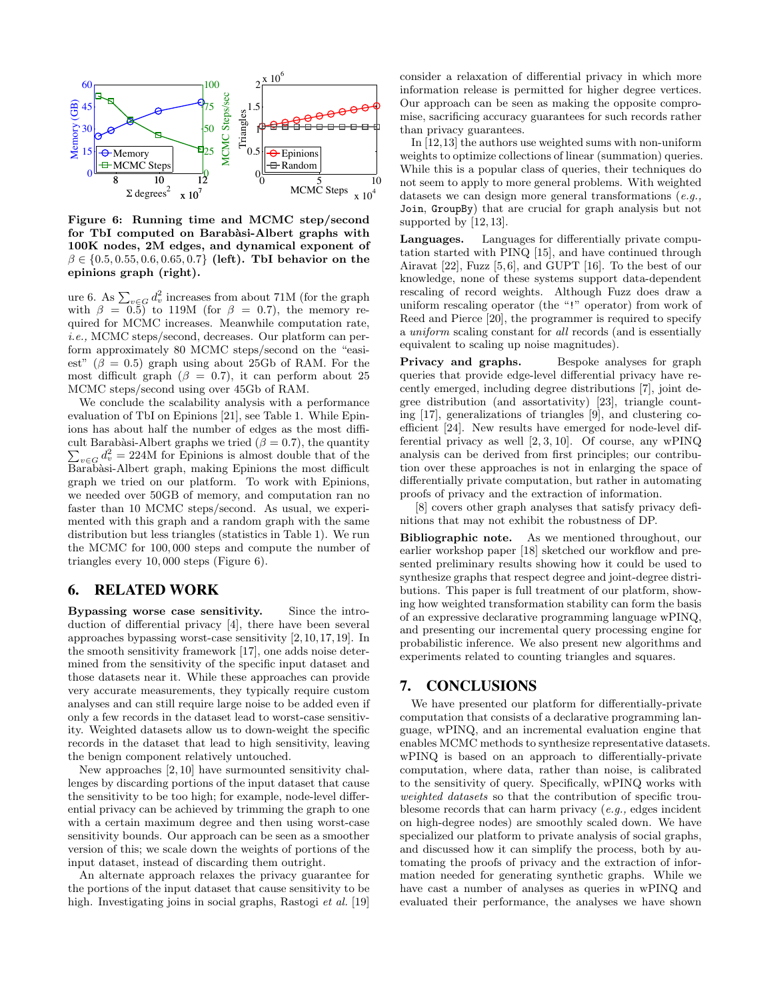

Figure 6: Running time and MCMC step/second for TbI computed on Barabàsi-Albert graphs with 100K nodes, 2M edges, and dynamical exponent of  $\beta \in \{0.5, 0.55, 0.6, 0.65, 0.7\}$  (left). TbI behavior on the epinions graph (right).

ure 6. As  $\sum_{v \in G} d_v^2$  increases from about 71M (for the graph with  $\beta = 0.5$ ) to 119M (for  $\beta = 0.7$ ), the memory required for MCMC increases. Meanwhile computation rate, i.e., MCMC steps/second, decreases. Our platform can perform approximately 80 MCMC steps/second on the "easiest" ( $\beta = 0.5$ ) graph using about 25Gb of RAM. For the most difficult graph ( $\beta = 0.7$ ), it can perform about 25 MCMC steps/second using over 45Gb of RAM.

We conclude the scalability analysis with a performance evaluation of TbI on Epinions [21], see Table 1. While Epinions has about half the number of edges as the most difficult Barabàsi-Albert graphs we tried  $(\beta = 0.7)$ , the quantity  $\sum_{v \in G} d_v^2 = 224$ M for Epinions is almost double that of the Barabàsi-Albert graph, making Epinions the most difficult graph we tried on our platform. To work with Epinions, we needed over 50GB of memory, and computation ran no faster than 10 MCMC steps/second. As usual, we experimented with this graph and a random graph with the same distribution but less triangles (statistics in Table 1). We run the MCMC for 100, 000 steps and compute the number of triangles every 10, 000 steps (Figure 6).

# 6. RELATED WORK

Bypassing worse case sensitivity. Since the introduction of differential privacy [4], there have been several approaches bypassing worst-case sensitivity [2,10,17,19]. In the smooth sensitivity framework [17], one adds noise determined from the sensitivity of the specific input dataset and those datasets near it. While these approaches can provide very accurate measurements, they typically require custom analyses and can still require large noise to be added even if only a few records in the dataset lead to worst-case sensitivity. Weighted datasets allow us to down-weight the specific records in the dataset that lead to high sensitivity, leaving the benign component relatively untouched.

New approaches [2, 10] have surmounted sensitivity challenges by discarding portions of the input dataset that cause the sensitivity to be too high; for example, node-level differential privacy can be achieved by trimming the graph to one with a certain maximum degree and then using worst-case sensitivity bounds. Our approach can be seen as a smoother version of this; we scale down the weights of portions of the input dataset, instead of discarding them outright.

An alternate approach relaxes the privacy guarantee for the portions of the input dataset that cause sensitivity to be high. Investigating joins in social graphs, Rastogi et al. [19] consider a relaxation of differential privacy in which more information release is permitted for higher degree vertices. Our approach can be seen as making the opposite compromise, sacrificing accuracy guarantees for such records rather than privacy guarantees.

In [12,13] the authors use weighted sums with non-uniform weights to optimize collections of linear (summation) queries. While this is a popular class of queries, their techniques do not seem to apply to more general problems. With weighted datasets we can design more general transformations (e.g., Join, GroupBy) that are crucial for graph analysis but not supported by [12, 13].

Languages. Languages for differentially private computation started with PINQ [15], and have continued through Airavat [22], Fuzz [5, 6], and GUPT [16]. To the best of our knowledge, none of these systems support data-dependent rescaling of record weights. Although Fuzz does draw a uniform rescaling operator (the "!" operator) from work of Reed and Pierce [20], the programmer is required to specify a uniform scaling constant for all records (and is essentially equivalent to scaling up noise magnitudes).

Privacy and graphs. Bespoke analyses for graph queries that provide edge-level differential privacy have recently emerged, including degree distributions [7], joint degree distribution (and assortativity) [23], triangle counting [17], generalizations of triangles [9], and clustering coefficient [24]. New results have emerged for node-level differential privacy as well  $[2, 3, 10]$ . Of course, any wPINQ analysis can be derived from first principles; our contribution over these approaches is not in enlarging the space of differentially private computation, but rather in automating proofs of privacy and the extraction of information.

[8] covers other graph analyses that satisfy privacy definitions that may not exhibit the robustness of DP.

Bibliographic note. As we mentioned throughout, our earlier workshop paper [18] sketched our workflow and presented preliminary results showing how it could be used to synthesize graphs that respect degree and joint-degree distributions. This paper is full treatment of our platform, showing how weighted transformation stability can form the basis of an expressive declarative programming language wPINQ, and presenting our incremental query processing engine for probabilistic inference. We also present new algorithms and experiments related to counting triangles and squares.

# 7. CONCLUSIONS

We have presented our platform for differentially-private computation that consists of a declarative programming language, wPINQ, and an incremental evaluation engine that enables MCMC methods to synthesize representative datasets. wPINQ is based on an approach to differentially-private computation, where data, rather than noise, is calibrated to the sensitivity of query. Specifically, wPINQ works with weighted datasets so that the contribution of specific troublesome records that can harm privacy  $(e,q, e)$ , edges incident on high-degree nodes) are smoothly scaled down. We have specialized our platform to private analysis of social graphs, and discussed how it can simplify the process, both by automating the proofs of privacy and the extraction of information needed for generating synthetic graphs. While we have cast a number of analyses as queries in wPINQ and evaluated their performance, the analyses we have shown